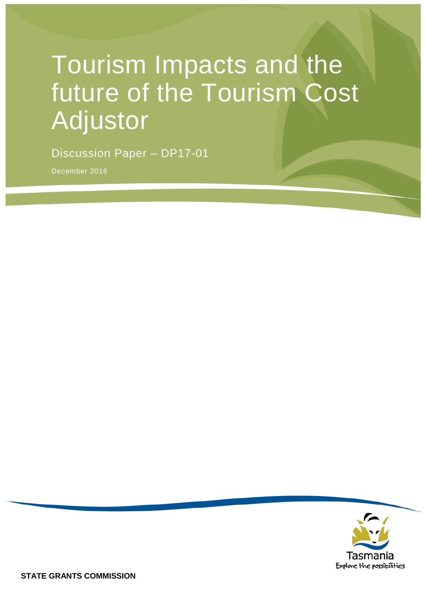# Tourism Impacts and the future of the Tourism Cost Adjustor

Discussion Paper – DP17-01

December 2016

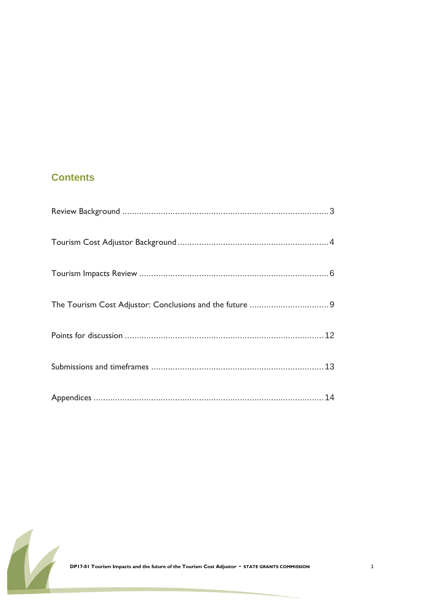### **Contents**

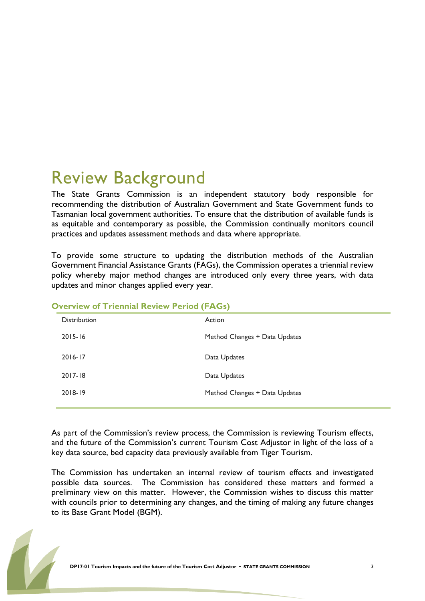### <span id="page-2-0"></span>Review Background

The State Grants Commission is an independent statutory body responsible for recommending the distribution of Australian Government and State Government funds to Tasmanian local government authorities. To ensure that the distribution of available funds is as equitable and contemporary as possible, the Commission continually monitors council practices and updates assessment methods and data where appropriate.

To provide some structure to updating the distribution methods of the Australian Government Financial Assistance Grants (FAGs), the Commission operates a triennial review policy whereby major method changes are introduced only every three years, with data updates and minor changes applied every year.

| <b>Distribution</b> | Action                        |
|---------------------|-------------------------------|
| $2015 - 16$         | Method Changes + Data Updates |
| 2016-17             | Data Updates                  |
| 2017-18             | Data Updates                  |
| 2018-19             | Method Changes + Data Updates |
|                     |                               |

#### **Overview of Triennial Review Period (FAGs)**

As part of the Commission's review process, the Commission is reviewing Tourism effects, and the future of the Commission's current Tourism Cost Adjustor in light of the loss of a key data source, bed capacity data previously available from Tiger Tourism.

The Commission has undertaken an internal review of tourism effects and investigated possible data sources. The Commission has considered these matters and formed a preliminary view on this matter. However, the Commission wishes to discuss this matter with councils prior to determining any changes, and the timing of making any future changes to its Base Grant Model (BGM).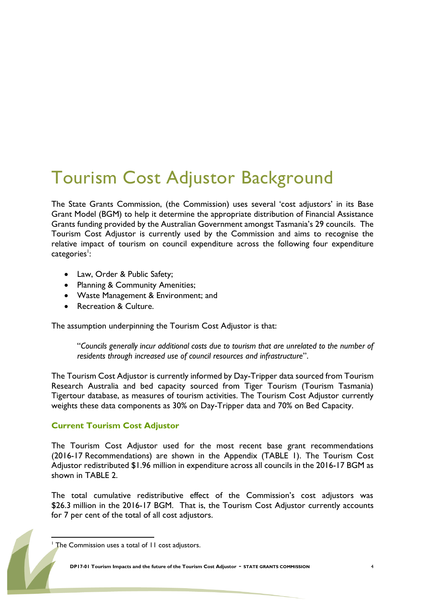# <span id="page-3-0"></span>Tourism Cost Adjustor Background

The State Grants Commission, (the Commission) uses several 'cost adjustors' in its Base Grant Model (BGM) to help it determine the appropriate distribution of Financial Assistance Grants funding provided by the Australian Government amongst Tasmania's 29 councils. The Tourism Cost Adjustor is currently used by the Commission and aims to recognise the relative impact of tourism on council expenditure across the following four expenditure categories<sup>1</sup>:

- Law, Order & Public Safety;
- Planning & Community Amenities;
- Waste Management & Environment; and
- Recreation & Culture.

The assumption underpinning the Tourism Cost Adjustor is that:

"*Councils generally incur additional costs due to tourism that are unrelated to the number of residents through increased use of council resources and infrastructure*".

The Tourism Cost Adjustor is currently informed by Day-Tripper data sourced from Tourism Research Australia and bed capacity sourced from Tiger Tourism (Tourism Tasmania) Tigertour database, as measures of tourism activities. The Tourism Cost Adjustor currently weights these data components as 30% on Day-Tripper data and 70% on Bed Capacity.

#### **Current Tourism Cost Adjustor**

The Tourism Cost Adjustor used for the most recent base grant recommendations (2016-17 Recommendations) are shown in the Appendix (TABLE 1). The Tourism Cost Adjustor redistributed \$1.96 million in expenditure across all councils in the 2016-17 BGM as shown in TABLE 2.

The total cumulative redistributive effect of the Commission's cost adjustors was \$26.3 million in the 2016-17 BGM. That is, the Tourism Cost Adjustor currently accounts for 7 per cent of the total of all cost adjustors.

<sup>1</sup> The Commission uses a total of 11 cost adjustors.

**DP17-01 Tourism Impacts and the future of the Tourism Cost Adjustor** - **STATE GRANTS COMMISSION** <sup>4</sup>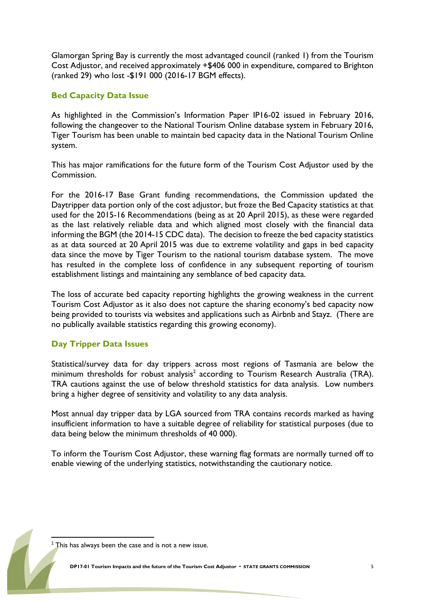Glamorgan Spring Bay is currently the most advantaged council (ranked 1) from the Tourism Cost Adjustor, and received approximately +\$406 000 in expenditure, compared to Brighton (ranked 29) who lost -\$191 000 (2016-17 BGM effects).

#### **Bed Capacity Data Issue**

As highlighted in the Commission's Information Paper IP16-02 issued in February 2016, following the changeover to the National Tourism Online database system in February 2016, Tiger Tourism has been unable to maintain bed capacity data in the National Tourism Online system.

This has major ramifications for the future form of the Tourism Cost Adjustor used by the Commission.

For the 2016-17 Base Grant funding recommendations, the Commission updated the Daytripper data portion only of the cost adjustor, but froze the Bed Capacity statistics at that used for the 2015-16 Recommendations (being as at 20 April 2015), as these were regarded as the last relatively reliable data and which aligned most closely with the financial data informing the BGM (the 2014-15 CDC data). The decision to freeze the bed capacity statistics as at data sourced at 20 April 2015 was due to extreme volatility and gaps in bed capacity data since the move by Tiger Tourism to the national tourism database system. The move has resulted in the complete loss of confidence in any subsequent reporting of tourism establishment listings and maintaining any semblance of bed capacity data.

The loss of accurate bed capacity reporting highlights the growing weakness in the current Tourism Cost Adjustor as it also does not capture the sharing economy's bed capacity now being provided to tourists via websites and applications such as Airbnb and Stayz. (There are no publically available statistics regarding this growing economy).

#### **Day Tripper Data Issues**

Statistical/survey data for day trippers across most regions of Tasmania are below the minimum thresholds for robust analysis<sup>2</sup> according to Tourism Research Australia (TRA). TRA cautions against the use of below threshold statistics for data analysis. Low numbers bring a higher degree of sensitivity and volatility to any data analysis.

Most annual day tripper data by LGA sourced from TRA contains records marked as having insufficient information to have a suitable degree of reliability for statistical purposes (due to data being below the minimum thresholds of 40 000).

To inform the Tourism Cost Adjustor, these warning flag formats are normally turned off to enable viewing of the underlying statistics, notwithstanding the cautionary notice.

1

This has always been the case and is not a new issue.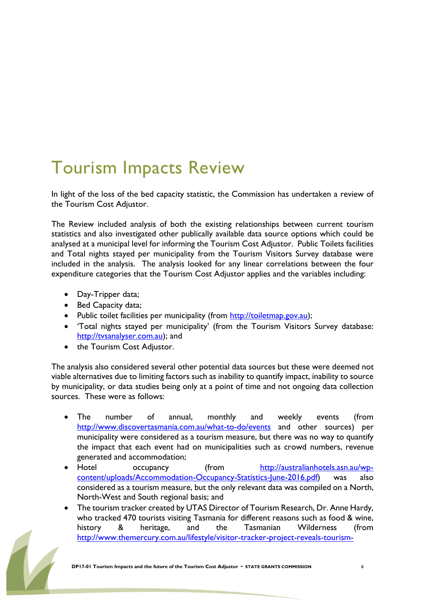### <span id="page-5-0"></span>Tourism Impacts Review

In light of the loss of the bed capacity statistic, the Commission has undertaken a review of the Tourism Cost Adjustor.

The Review included analysis of both the existing relationships between current tourism statistics and also investigated other publically available data source options which could be analysed at a municipal level for informing the Tourism Cost Adjustor. Public Toilets facilities and Total nights stayed per municipality from the Tourism Visitors Survey database were included in the analysis. The analysis looked for any linear correlations between the four expenditure categories that the Tourism Cost Adjustor applies and the variables including:

- Day-Tripper data;
- Bed Capacity data;
- Public toilet facilities per municipality (from [http://toiletmap.gov.au\)](http://toiletmap.gov.au/);
- 'Total nights stayed per municipality' (from the Tourism Visitors Survey database: [http://tvsanalyser.com.au\)](http://tvsanalyser.com.au/); and
- the Tourism Cost Adjustor.

The analysis also considered several other potential data sources but these were deemed not viable alternatives due to limiting factors such as inability to quantify impact, inability to source by municipality, or data studies being only at a point of time and not ongoing data collection sources. These were as follows:

- The number of annual, monthly and weekly events (from <http://www.discovertasmania.com.au/what-to-do/events> and other sources) per municipality were considered as a tourism measure, but there was no way to quantify the impact that each event had on municipalities such as crowd numbers, revenue generated and accommodation;
- Hotel occupancy (from [http://australianhotels.asn.au/wp](http://australianhotels.asn.au/wp-content/uploads/Accommodation-Occupancy-Statistics-June-2016.pdf)[content/uploads/Accommodation-Occupancy-Statistics-June-2016.pdf\)](http://australianhotels.asn.au/wp-content/uploads/Accommodation-Occupancy-Statistics-June-2016.pdf) was also considered as a tourism measure, but the only relevant data was compiled on a North, North-West and South regional basis; and
- The tourism tracker created by UTAS Director of Tourism Research, Dr. Anne Hardy, who tracked 470 tourists visiting Tasmania for different reasons such as food & wine, history & heritage, and the Tasmanian Wilderness (from [http://www.themercury.com.au/lifestyle/visitor-tracker-project-reveals-tourism-](http://www.themercury.com.au/lifestyle/visitor-tracker-project-reveals-tourism-myths/news-story/08ebe13a7cbd9ce168c959d074e3ed17)

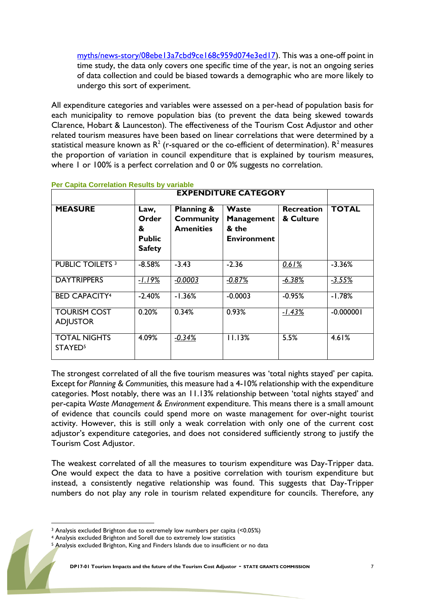[myths/news-story/08ebe13a7cbd9ce168c959d074e3ed17\)](http://www.themercury.com.au/lifestyle/visitor-tracker-project-reveals-tourism-myths/news-story/08ebe13a7cbd9ce168c959d074e3ed17). This was a one-off point in time study, the data only covers one specific time of the year, is not an ongoing series of data collection and could be biased towards a demographic who are more likely to undergo this sort of experiment.

All expenditure categories and variables were assessed on a per-head of population basis for each municipality to remove population bias (to prevent the data being skewed towards Clarence, Hobart & Launceston). The effectiveness of the Tourism Cost Adjustor and other related tourism measures have been based on linear correlations that were determined by a statistical measure known as  $R^2$  (r-squared or the co-efficient of determination).  $R^2$  measures the proportion of variation in council expenditure that is explained by tourism measures, where 1 or 100% is a perfect correlation and 0 or 0% suggests no correlation.

| <b>MEASURE</b>                             | Law,<br>Order<br>&<br><b>Public</b><br><b>Safety</b> | <b>Planning &amp;</b><br>Waste<br><b>Community</b><br><b>Management</b><br><b>Amenities</b><br>& the<br><b>Environment</b> |           | <b>Recreation</b><br>& Culture | <b>TOTAL</b> |
|--------------------------------------------|------------------------------------------------------|----------------------------------------------------------------------------------------------------------------------------|-----------|--------------------------------|--------------|
| <b>PUBLIC TOILETS 3</b>                    | $-8.58%$                                             | $-3.43$                                                                                                                    | $-2.36$   | 0.61%                          | $-3.36%$     |
| <b>DAYTRIPPERS</b>                         | $-1.19%$                                             | $-0.0003$                                                                                                                  | $-0.87%$  | $-6.38%$                       | $-3.55%$     |
| <b>BED CAPACITY4</b>                       | $-2.40%$                                             | $-1.36%$                                                                                                                   | $-0.0003$ | $-0.95%$                       | $-1.78%$     |
| <b>TOURISM COST</b><br><b>ADJUSTOR</b>     | 0.20%                                                | 0.34%                                                                                                                      | 0.93%     | $-1.43%$                       | $-0.000001$  |
| <b>TOTAL NIGHTS</b><br>STAYED <sup>5</sup> | 4.09%                                                | $-0.34%$                                                                                                                   | 11.13%    | 5.5%                           | 4.61%        |

**Per Capita Correlation Results by variable**

The strongest correlated of all the five tourism measures was 'total nights stayed' per capita. Except for *Planning & Communities,* this measure had a 4-10% relationship with the expenditure categories. Most notably, there was an 11.13% relationship between 'total nights stayed' and per-capita *Waste Management & Environment* expenditure. This means there is a small amount of evidence that councils could spend more on waste management for over-night tourist activity. However, this is still only a weak correlation with only one of the current cost adjustor's expenditure categories, and does not considered sufficiently strong to justify the Tourism Cost Adjustor.

The weakest correlated of all the measures to tourism expenditure was Day-Tripper data. One would expect the data to have a positive correlation with tourism expenditure but instead, a consistently negative relationship was found. This suggests that Day-Tripper numbers do not play any role in tourism related expenditure for councils. Therefore, any

<sup>&</sup>lt;u>.</u> <sup>3</sup> Analysis excluded Brighton due to extremely low numbers per capita (<0.05%)

<sup>4</sup> Analysis excluded Brighton and Sorell due to extremely low statistics

<sup>&</sup>lt;sup>5</sup> Analysis excluded Brighton, King and Finders Islands due to insufficient or no data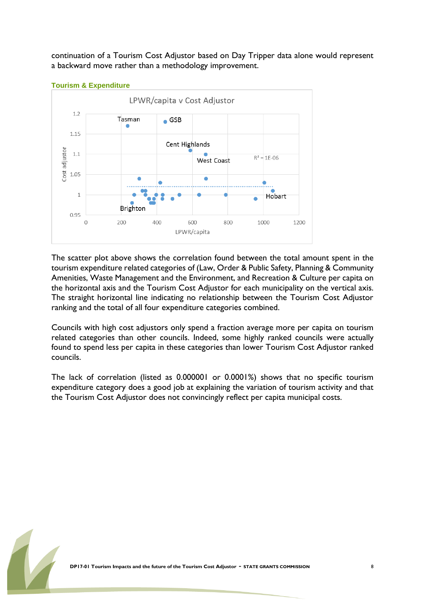continuation of a Tourism Cost Adjustor based on Day Tripper data alone would represent a backward move rather than a methodology improvement.



The scatter plot above shows the correlation found between the total amount spent in the tourism expenditure related categories of (Law, Order & Public Safety, Planning & Community Amenities, Waste Management and the Environment, and Recreation & Culture per capita on the horizontal axis and the Tourism Cost Adjustor for each municipality on the vertical axis. The straight horizontal line indicating no relationship between the Tourism Cost Adjustor ranking and the total of all four expenditure categories combined.

Councils with high cost adjustors only spend a fraction average more per capita on tourism related categories than other councils. Indeed, some highly ranked councils were actually found to spend less per capita in these categories than lower Tourism Cost Adjustor ranked councils.

The lack of correlation (listed as 0.000001 or 0.0001%) shows that no specific tourism expenditure category does a good job at explaining the variation of tourism activity and that the Tourism Cost Adjustor does not convincingly reflect per capita municipal costs.

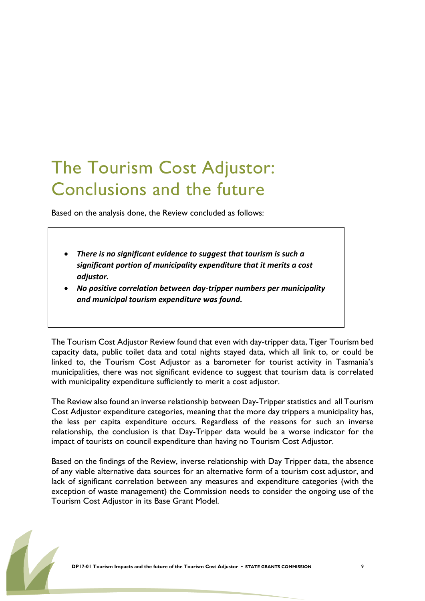# <span id="page-8-0"></span>The Tourism Cost Adjustor: Conclusions and the future

Based on the analysis done, the Review concluded as follows:

- *There is no significant evidence to suggest that tourism is such a significant portion of municipality expenditure that it merits a cost adjustor.*
- *No positive correlation between day-tripper numbers per municipality and municipal tourism expenditure was found.*

The Tourism Cost Adjustor Review found that even with day-tripper data, Tiger Tourism bed capacity data, public toilet data and total nights stayed data, which all link to, or could be linked to, the Tourism Cost Adjustor as a barometer for tourist activity in Tasmania's municipalities, there was not significant evidence to suggest that tourism data is correlated with municipality expenditure sufficiently to merit a cost adjustor.

The Review also found an inverse relationship between Day-Tripper statistics and all Tourism Cost Adjustor expenditure categories, meaning that the more day trippers a municipality has, the less per capita expenditure occurs. Regardless of the reasons for such an inverse relationship, the conclusion is that Day-Tripper data would be a worse indicator for the impact of tourists on council expenditure than having no Tourism Cost Adjustor.

Based on the findings of the Review, inverse relationship with Day Tripper data, the absence of any viable alternative data sources for an alternative form of a tourism cost adjustor, and lack of significant correlation between any measures and expenditure categories (with the exception of waste management) the Commission needs to consider the ongoing use of the Tourism Cost Adjustor in its Base Grant Model.

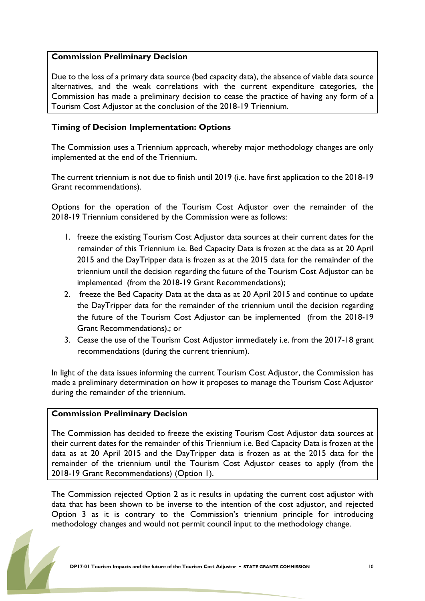#### **Commission Preliminary Decision**

Due to the loss of a primary data source (bed capacity data), the absence of viable data source alternatives, and the weak correlations with the current expenditure categories, the Commission has made a preliminary decision to cease the practice of having any form of a Tourism Cost Adjustor at the conclusion of the 2018-19 Triennium.

#### **Timing of Decision Implementation: Options**

The Commission uses a Triennium approach, whereby major methodology changes are only implemented at the end of the Triennium.

The current triennium is not due to finish until 2019 (i.e. have first application to the 2018-19 Grant recommendations).

Options for the operation of the Tourism Cost Adjustor over the remainder of the 2018-19 Triennium considered by the Commission were as follows:

- 1. freeze the existing Tourism Cost Adjustor data sources at their current dates for the remainder of this Triennium i.e. Bed Capacity Data is frozen at the data as at 20 April 2015 and the DayTripper data is frozen as at the 2015 data for the remainder of the triennium until the decision regarding the future of the Tourism Cost Adjustor can be implemented (from the 2018-19 Grant Recommendations);
- 2. freeze the Bed Capacity Data at the data as at 20 April 2015 and continue to update the DayTripper data for the remainder of the triennium until the decision regarding the future of the Tourism Cost Adjustor can be implemented (from the 2018-19 Grant Recommendations).; or
- 3. Cease the use of the Tourism Cost Adjustor immediately i.e. from the 2017-18 grant recommendations (during the current triennium).

In light of the data issues informing the current Tourism Cost Adjustor, the Commission has made a preliminary determination on how it proposes to manage the Tourism Cost Adjustor during the remainder of the triennium.

#### **Commission Preliminary Decision**

The Commission has decided to freeze the existing Tourism Cost Adjustor data sources at their current dates for the remainder of this Triennium i.e. Bed Capacity Data is frozen at the data as at 20 April 2015 and the DayTripper data is frozen as at the 2015 data for the remainder of the triennium until the Tourism Cost Adjustor ceases to apply (from the 2018-19 Grant Recommendations) (Option 1).

The Commission rejected Option 2 as it results in updating the current cost adjustor with data that has been shown to be inverse to the intention of the cost adjustor, and rejected Option 3 as it is contrary to the Commission's triennium principle for introducing methodology changes and would not permit council input to the methodology change.

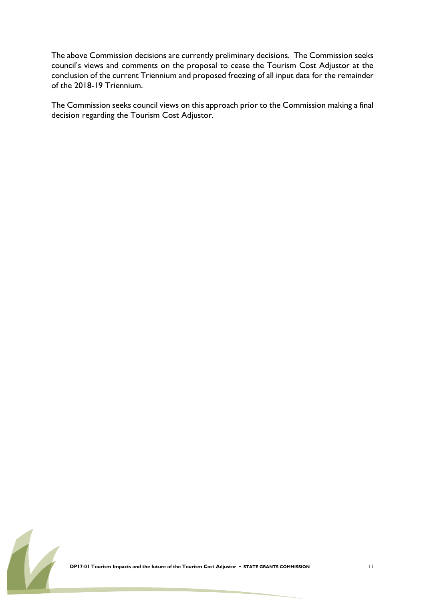The above Commission decisions are currently preliminary decisions. The Commission seeks council's views and comments on the proposal to cease the Tourism Cost Adjustor at the conclusion of the current Triennium and proposed freezing of all input data for the remainder of the 2018-19 Triennium.

The Commission seeks council views on this approach prior to the Commission making a final decision regarding the Tourism Cost Adjustor.

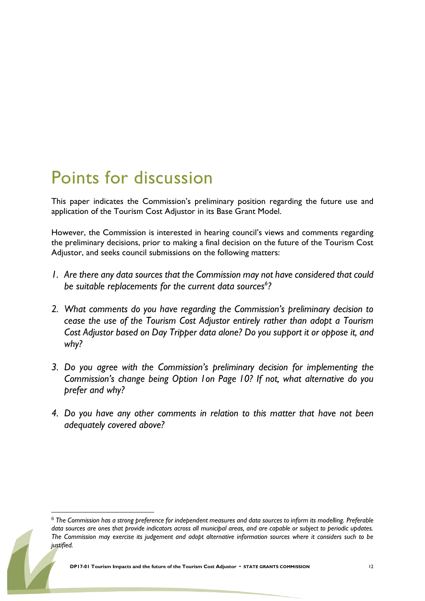### <span id="page-11-0"></span>Points for discussion

1

This paper indicates the Commission's preliminary position regarding the future use and application of the Tourism Cost Adjustor in its Base Grant Model.

However, the Commission is interested in hearing council's views and comments regarding the preliminary decisions, prior to making a final decision on the future of the Tourism Cost Adjustor, and seeks council submissions on the following matters:

- *1. Are there any data sources that the Commission may not have considered that could be suitable replacements for the current data sources<sup>6</sup> ?*
- *2. What comments do you have regarding the Commission's preliminary decision to cease the use of the Tourism Cost Adjustor entirely rather than adopt a Tourism Cost Adjustor based on Day Tripper data alone? Do you support it or oppose it, and why?*
- *3. Do you agree with the Commission's preliminary decision for implementing the Commission's change being Option 1on Page 10? If not, what alternative do you prefer and why?*
- *4. Do you have any other comments in relation to this matter that have not been adequately covered above?*

<sup>6</sup> *The Commission has a strong preference for independent measures and data sources to inform its modelling. Preferable data sources are ones that provide indicators across all municipal areas, and are capable or subject to periodic updates. The Commission may exercise its judgement and adopt alternative information sources where it considers such to be justified.*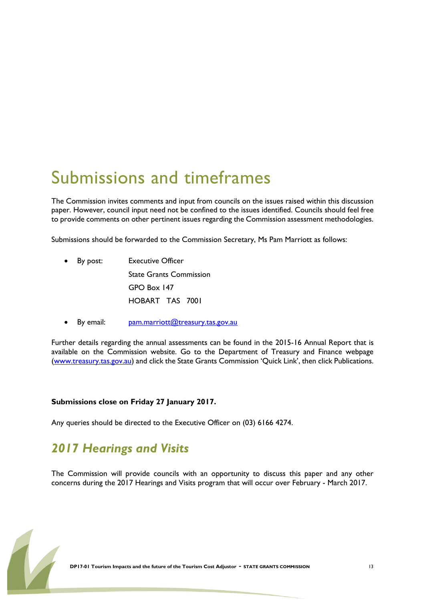### <span id="page-12-0"></span>Submissions and timeframes

The Commission invites comments and input from councils on the issues raised within this discussion paper. However, council input need not be confined to the issues identified. Councils should feel free to provide comments on other pertinent issues regarding the Commission assessment methodologies.

Submissions should be forwarded to the Commission Secretary, Ms Pam Marriott as follows:

- By post: Executive Officer State Grants Commission GPO Box 147 HOBART TAS 7001
- By email: [pam.marriott@treasury.tas.gov.au](mailto:pam.marriott@treasury.tas.gov.au)

Further details regarding the annual assessments can be found in the 2015-16 Annual Report that is available on the Commission website. Go to the Department of Treasury and Finance webpage [\(www.treasury.tas.gov.au](http://www.treasury.tas.gov.au/)) and click the State Grants Commission 'Quick Link', then click Publications.

#### **Submissions close on Friday 27 January 2017.**

Any queries should be directed to the Executive Officer on (03) 6166 4274.

### *2017 Hearings and Visits*

The Commission will provide councils with an opportunity to discuss this paper and any other concerns during the 2017 Hearings and Visits program that will occur over February - March 2017.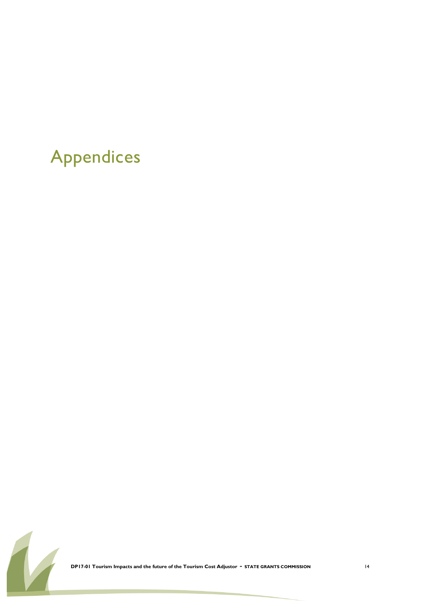# <span id="page-13-0"></span>Appendices



**DP17-01 Tourism Impacts and the future of the Tourism Cost Adjustor** - **STATE GRANTS COMMISSION** <sup>14</sup>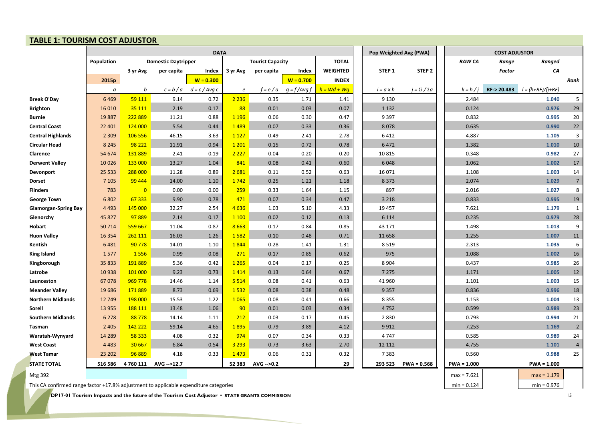#### **TABLE 1: TOURISM COST ADJUSTOR**

| <b>INDEE 1: I DOMISIVI COST ADJOSTOM</b> |                   |                |                            |             |            |                         |                |                 |                        |                      |               |             |                     |                |
|------------------------------------------|-------------------|----------------|----------------------------|-------------|------------|-------------------------|----------------|-----------------|------------------------|----------------------|---------------|-------------|---------------------|----------------|
|                                          | <b>DATA</b>       |                |                            |             |            |                         |                |                 | Pop Weighted Avg (PWA) | <b>COST ADJUSTOR</b> |               |             |                     |                |
|                                          | Population        |                | <b>Domestic Daytripper</b> |             |            | <b>Tourist Capacity</b> |                | <b>TOTAL</b>    |                        |                      | <b>RAW CA</b> | Range       | Ranged              |                |
|                                          |                   | 3 yr Avg       | per capita                 | Index       | 3 yr Avg   | per capita              | Index          | <b>WEIGHTED</b> | STEP <sub>1</sub>      | STEP <sub>2</sub>    |               | Factor      | CA                  |                |
|                                          | 2015 <sub>p</sub> |                |                            | $W = 0.300$ |            |                         | $W = 0.700$    | <b>INDEX</b>    |                        |                      |               |             |                     | Rank           |
|                                          | a                 | b              | $c = b/a$                  | $d = c/Avq$ | $\epsilon$ | f=e/a                   | $q = f/A$ vq f | $h = Wd + Wq$   | $i = a \times h$       | j = Σi / Σa          | $k = h/$      | RF-> 20.483 | $l = (h+RF)/(i+RF)$ |                |
| <b>Break O'Day</b>                       | 6469              | 59 111         | 9.14                       | 0.72        | 2 2 3 6    | 0.35                    | 1.71           | 1.41            | 9 1 3 0                |                      | 2.484         |             | 1.040               | 5              |
| <b>Brighton</b>                          | 16 0 10           | 35 111         | 2.19                       | 0.17        | 88         | 0.01                    | 0.03           | 0.07            | 1 1 3 2                |                      | 0.124         |             | 0.976               | 29             |
| <b>Burnie</b>                            | 19887             | 222889         | 11.21                      | 0.88        | 1 1 9 6    | 0.06                    | 0.30           | 0.47            | 9 3 9 7                |                      | 0.832         |             | 0.995               | 20             |
| <b>Central Coast</b>                     | 22 4 01           | 124 000        | 5.54                       | 0.44        | 1 4 8 9    | 0.07                    | 0.33           | 0.36            | 8078                   |                      | 0.635         |             | 0.990               | 22             |
| <b>Central Highlands</b>                 | 2 3 0 9           | 106 556        | 46.15                      | 3.63        | 1 1 2 7    | 0.49                    | 2.41           | 2.78            | 6412                   |                      | 4.887         |             | 1.105               | 3              |
| <b>Circular Head</b>                     | 8 2 4 5           | 98 222         | 11.91                      | 0.94        | 1 2 0 1    | 0.15                    | 0.72           | 0.78            | 6 4 7 2                |                      | 1.382         |             | 1.010               | 10             |
| Clarence                                 | 54 674            | 131889         | 2.41                       | 0.19        | 2 2 2 7    | 0.04                    | 0.20           | 0.20            | 10 8 15                |                      | 0.348         |             | 0.982               | 27             |
| <b>Derwent Valley</b>                    | 10 0 26           | 133 000        | 13.27                      | 1.04        | 841        | 0.08                    | 0.41           | 0.60            | 6 0 4 8                |                      | 1.062         |             | 1.002               | 17             |
| Devonport                                | 25 5 33           | 288 000        | 11.28                      | 0.89        | 2 6 8 1    | 0.11                    | 0.52           | 0.63            | 16 071                 |                      | 1.108         |             | 1.003               | 14             |
| <b>Dorset</b>                            | 7 1 0 5           | 99 444         | 14.00                      | 1.10        | 1742       | 0.25                    | 1.21           | 1.18            | 8 3 7 3                |                      | 2.074         |             | 1.029               | $\overline{7}$ |
| <b>Flinders</b>                          | 783               | $\overline{0}$ | 0.00                       | 0.00        | 259        | 0.33                    | 1.64           | 1.15            | 897                    |                      | 2.016         |             | 1.027               | 8              |
| <b>George Town</b>                       | 6802              | 67333          | 9.90                       | 0.78        | 471        | 0.07                    | 0.34           | 0.47            | 3 2 1 8                |                      | 0.833         |             | 0.995               | 19             |
| <b>Glamorgan-Spring Bay</b>              | 4 4 9 3           | 145 000        | 32.27                      | 2.54        | 4636       | 1.03                    | 5.10           | 4.33            | 19 457                 |                      | 7.621         |             | 1.179               | $\mathbf{1}$   |
| Glenorchy                                | 45 827            | 97889          | 2.14                       | 0.17        | 1 1 0 0    | 0.02                    | 0.12           | 0.13            | 6 1 1 4                |                      | 0.235         |             | 0.979               | 28             |
| Hobart                                   | 50714             | 559 667        | 11.04                      | 0.87        | 8 6 6 3    | 0.17                    | 0.84           | 0.85            | 43 171                 |                      | 1.498         |             | 1.013               | 9              |
| <b>Huon Valley</b>                       | 16 3 5 4          | 262 111        | 16.03                      | 1.26        | 1582       | 0.10                    | 0.48           | 0.71            | 11 658                 |                      | 1.255         |             | 1.007               | 11             |
| Kentish                                  | 6481              | 90778          | 14.01                      | 1.10        | 1844       | 0.28                    | 1.41           | 1.31            | 8 5 1 9                |                      | 2.313         |             | 1.035               | 6              |
| King Island                              | 1577              | 1556           | 0.99                       | 0.08        | 271        | 0.17                    | 0.85           | 0.62            | 975                    |                      | 1.088         |             | 1.002               | 16             |
| Kingborough                              | 35 833            | 191889         | 5.36                       | 0.42        | 1 2 6 5    | 0.04                    | 0.17           | 0.25            | 8 9 0 4                |                      | 0.437         |             | 0.985               | 26             |
| Latrobe                                  | 10938             | 101 000        | 9.23                       | 0.73        | 1 4 1 4    | 0.13                    | 0.64           | 0.67            | 7 2 7 5                |                      | 1.171         |             | 1.005               | 12             |
| Launceston                               | 67078             | 969 778        | 14.46                      | 1.14        | 5 5 1 4    | 0.08                    | 0.41           | 0.63            | 41 960                 |                      | 1.101         |             | 1.003               | 15             |
| <b>Meander Valley</b>                    | 19686             | 171889         | 8.73                       | 0.69        | 1532       | 0.08                    | 0.38           | 0.48            | 9 3 5 7                |                      | 0.836         |             | 0.996               | 18             |
| <b>Northern Midlands</b>                 | 12749             | 198 000        | 15.53                      | 1.22        | 1 0 6 5    | 0.08                    | 0.41           | 0.66            | 8 3 5 5                |                      | 1.153         |             | 1.004               | 13             |
| Sorell                                   | 13 9 55           | 188 111        | 13.48                      | 1.06        | 90         | 0.01                    | 0.03           | 0.34            | 4752                   |                      | 0.599         |             | 0.989               | 23             |
| <b>Southern Midlands</b>                 | 6 2 7 8           | 88778          | 14.14                      | 1.11        | 212        | 0.03                    | 0.17           | 0.45            | 2830                   |                      | 0.793         |             | 0.994               | 21             |
| Tasman                                   | 2 4 0 5           | 142 222        | 59.14                      | 4.65        | 1895       | 0.79                    | 3.89           | 4.12            | 9912                   |                      | 7.253         |             | 1.169               | $\overline{2}$ |
| Waratah-Wynyard                          | 14 2 8 9          | 58 3 33        | 4.08                       | 0.32        | 974        | 0.07                    | 0.34           | 0.33            | 4747                   |                      | 0.585         |             | 0.989               | 24             |
| <b>West Coast</b>                        | 4 4 8 3           | 30 667         | 6.84                       | 0.54        | 3 2 9 3    | 0.73                    | 3.63           | 2.70            | 12 112                 |                      | 4.755         |             | 1.101               | $\overline{4}$ |
| <b>West Tamar</b>                        | 23 202            | 96889          | 4.18                       | 0.33        | 1473       | 0.06                    | 0.31           | 0.32            | 7 3 8 3                |                      | 0.560         |             | 0.988               | 25             |
| <b>STATE TOTAL</b>                       | 516 586           | 4760111        | AVG -- > 12.7              |             | 52 383     | $AVG - 90.2$            |                | 29              | 293 523                | $PWA = 0.568$        | $PWA = 1.000$ |             | $PWA = 1.000$       |                |
| Mtg 392                                  |                   |                |                            |             |            |                         |                |                 |                        |                      | $max = 7.621$ |             | $max = 1.179$       |                |

This CA confirmed range factor +17.8% adjustment to applicable expenditure categories min = 0.976 min = 0.124 min = 0.124 min = 0.976

**DP17-01 Tourism Impacts and the future of the Tourism Cost Adjustor** - **STATE GRANTS COMMISSION** <sup>15</sup>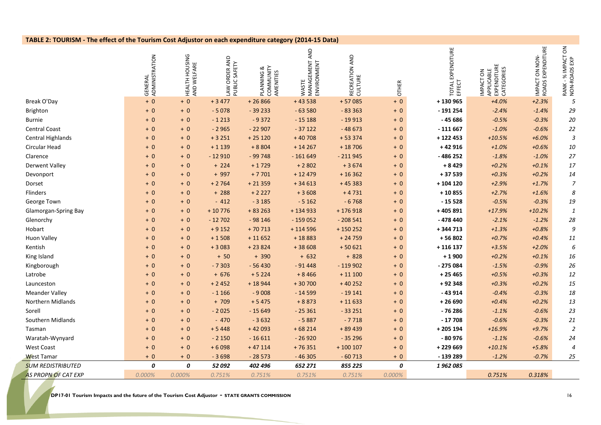#### **TABLE 2: TOURISM - The effect of the Tourism Cost Adjustor on each expenditure category (2014-15 Data)**

|                             | GENERAL<br>ADMINISTRATION | HEALTH HOUSING<br>AND WELFARE | ORDER AND<br>PUBLIC SAFETY<br><b>NN</b> | PLANNING &<br>COMMUNITY<br>AMENITIES | MANAGEMENT AND<br>ENVIRONMENT<br>WASTE | RECREATION AND<br>CULTURE | <b>OTHER</b> | TOTAL EXPENDITURE<br>EFFECT | EXPENDITURE<br>CATEGORIES<br>APPLICABLE<br>š<br><b>IMPACT</b> | ROADS EXPENDITURE<br>ON NON-<br><b>IMPACT</b> | る<br>RANK - % IMPACT (<br>NON-ROADS EXP |
|-----------------------------|---------------------------|-------------------------------|-----------------------------------------|--------------------------------------|----------------------------------------|---------------------------|--------------|-----------------------------|---------------------------------------------------------------|-----------------------------------------------|-----------------------------------------|
| Break O'Day                 | $+0$                      | $+0$                          | $+3477$                                 | $+26866$                             | $+43538$                               | $+57085$                  | $+0$         | +130 965                    | $+4.0%$                                                       | $+2.3%$                                       | $\sqrt{5}$                              |
| Brighton                    | $+0$                      | $+0$                          | $-5078$                                 | $-39233$                             | $-63580$                               | $-833363$                 | $+0$         | $-191254$                   | $-2.4%$                                                       | $-1.4%$                                       | 29                                      |
| <b>Burnie</b>               | $+0$                      | $+0$                          | $-1213$                                 | $-9372$                              | $-15188$                               | $-19913$                  | $+0$         | $-45686$                    | $-0.5%$                                                       | $-0.3%$                                       | 20                                      |
| <b>Central Coast</b>        | $+0$                      | $+0$                          | $-2965$                                 | $-22907$                             | $-37122$                               | $-48673$                  | $+0$         | $-111667$                   | $-1.0%$                                                       | $-0.6%$                                       | 22                                      |
| <b>Central Highlands</b>    | $+0$                      | $+0$                          | $+3251$                                 | $+25120$                             | $+40708$                               | $+ 533374$                | $+0$         | +122453                     | $+10.5%$                                                      | $+6.0%$                                       | $\ensuremath{\mathfrak{Z}}$             |
| Circular Head               | $+0$                      | $+ 0$                         | $+1139$                                 | $+8804$                              | $+14267$                               | $+18706$                  | $+0$         | $+42916$                    | $+1.0%$                                                       | $+0.6%$                                       | 10                                      |
| Clarence                    | $+0$                      | $+ 0$                         | $-12910$                                | $-99748$                             | $-161649$                              | $-211945$                 | $+0$         | -486 252                    | $-1.8%$                                                       | $-1.0%$                                       | 27                                      |
| <b>Derwent Valley</b>       | $+0$                      | $+0$                          | $+224$                                  | $+1729$                              | $+2802$                                | $+3674$                   | $+0$         | $+8429$                     | $+0.2%$                                                       | $+0.1%$                                       | 17                                      |
| Devonport                   | $+0$                      | $+0$                          | $+997$                                  | $+7701$                              | $+12479$                               | $+16362$                  | $+0$         | +37539                      | $+0.3%$                                                       | $+0.2%$                                       | 14                                      |
| Dorset                      | $+0$                      | $+0$                          | $+2764$                                 | $+21359$                             | $+34613$                               | $+45383$                  | $+0$         | +104 120                    | $+2.9%$                                                       | $+1.7%$                                       | $\overline{7}$                          |
| Flinders                    | $+0$                      | $+0$                          | $+288$                                  | $+2227$                              | $+3608$                                | $+4731$                   | $+0$         | $+10855$                    | $+2.7%$                                                       | $+1.6%$                                       | 8                                       |
| George Town                 | $+0$                      | $+0$                          | $-412$                                  | $-3185$                              | $-5162$                                | $-6768$                   | $+0$         | $-15528$                    | $-0.5%$                                                       | $-0.3%$                                       | 19                                      |
| <b>Glamorgan-Spring Bay</b> | $+0$                      | $+0$                          | $+10776$                                | $+83263$                             | $+134933$                              | $+176918$                 | $+0$         | +405891                     | $+17.9%$                                                      | $+10.2%$                                      | 1                                       |
| Glenorchy                   | $+0$                      | $+0$                          | $-12702$                                | $-98146$                             | $-159052$                              | $-208541$                 | $+0$         | -478 440                    | $-2.1%$                                                       | $-1.2%$                                       | 28                                      |
| Hobart                      | $+0$                      | $+0$                          | $+9152$                                 | $+70713$                             | $+114596$                              | $+150252$                 | $+0$         | +344713                     | $+1.3%$                                                       | $+0.8%$                                       | $\mathcal G$                            |
| <b>Huon Valley</b>          | $+0$                      | $+0$                          | $+1508$                                 | $+11652$                             | $+18883$                               | $+24759$                  | $+0$         | +56802                      | $+0.7%$                                                       | $+0.4%$                                       | 11                                      |
| Kentish                     | $+0$                      | $+0$                          | $+3083$                                 | $+23824$                             | $+38608$                               | $+50621$                  | $+0$         | $+116137$                   | $+3.5%$                                                       | $+2.0%$                                       | 6                                       |
| King Island                 | $+0$                      | $+0$                          | $+ 50$                                  | $+390$                               | $+ 632$                                | $+828$                    | $+0$         | $+1900$                     | $+0.2%$                                                       | $+0.1%$                                       | 16                                      |
| Kingborough                 | $+0$                      | $+0$                          | $-7303$                                 | $-56430$                             | $-91448$                               | $-119902$                 | $+0$         | $-275084$                   | $-1.5%$                                                       | $-0.9%$                                       | 26                                      |
| Latrobe                     | $+0$                      | $+0$                          | $+ 676$                                 | $+5224$                              | $+8466$                                | $+11100$                  | $+0$         | $+25465$                    | $+0.5%$                                                       | $+0.3%$                                       | 12                                      |
| Launceston                  | $+0$                      | $+0$                          | $+2452$                                 | $+18944$                             | $+30700$                               | $+40252$                  | $+0$         | +92 348                     | $+0.3%$                                                       | $+0.2%$                                       | 15                                      |
| <b>Meander Valley</b>       | $+0$                      | $+0$                          | $-1166$                                 | $-9008$                              | $-14599$                               | $-19141$                  | $+0$         | $-43914$                    | $-0.4%$                                                       | $-0.3%$                                       | 18                                      |
| <b>Northern Midlands</b>    | $+0$                      | $+0$                          | $+709$                                  | $+5475$                              | $+8873$                                | $+11633$                  | $+0$         | $+26690$                    | $+0.4%$                                                       | $+0.2%$                                       | 13                                      |
| Sorell                      | $+0$                      | $+0$                          | $-2025$                                 | $-15649$                             | $-25361$                               | $-33251$                  | $+0$         | $-76286$                    | $-1.1%$                                                       | $-0.6%$                                       | 23                                      |
| Southern Midlands           | $+0$                      | $+0$                          | $-470$                                  | $-3632$                              | $-5887$                                | $-7718$                   | $+0$         | $-17708$                    | $-0.6%$                                                       | $-0.3%$                                       | 21                                      |
| Tasman                      | $+0$                      | $+0$                          | $+5448$                                 | $+42093$                             | $+68214$                               | + 89 439                  | $+0$         | +205 194                    | $+16.9%$                                                      | $+9.7%$                                       | $\boldsymbol{2}$                        |
| Waratah-Wynyard             | $+0$                      | $+0$                          | $-2150$                                 | $-16611$                             | $-26920$                               | $-35296$                  | $+0$         | $-80976$                    | $-1.1%$                                                       | $-0.6%$                                       | 24                                      |
| <b>West Coast</b>           | $+0$                      | $+0$                          | $+6098$                                 | $+47114$                             | $+76351$                               | $+100107$                 | $+0$         | +229 669                    | $+10.1%$                                                      | $+5.8%$                                       | 4                                       |
| <b>West Tamar</b>           | $+0$                      | $+0$                          | $-3698$                                 | $-28573$                             | $-46305$                               | $-60713$                  | $+0$         | - 139 289                   | $-1.2%$                                                       | $-0.7%$                                       | 25                                      |
| <b>SUM REDISTRIBUTED</b>    | 0                         | 0                             | 52 092                                  | 402 496                              | 652 271                                | 855 225                   | 0            | 1962085                     |                                                               |                                               |                                         |
| AS PROPN OF CAT EXP         | 0.000%                    | 0.000%                        | 0.751%                                  | 0.751%                               | 0.751%                                 | 0.751%                    | 0.000%       |                             | 0.751%                                                        | 0.318%                                        |                                         |

**DP17-01 Tourism Impacts and the future of the Tourism Cost Adjustor** - **STATE GRANTS COMMISSION** <sup>16</sup>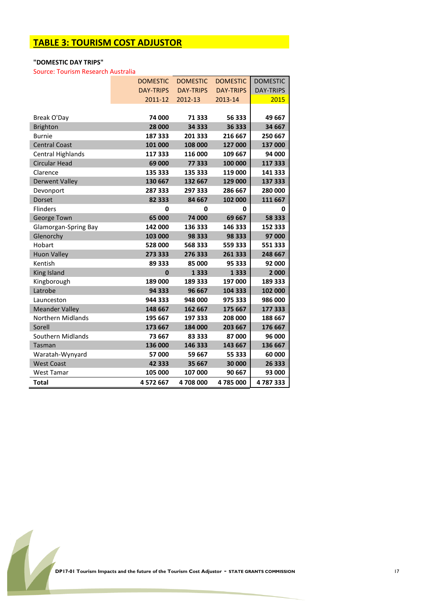### **TABLE 3: TOURISM COST ADJUSTOR**

#### **"DOMESTIC DAY TRIPS"**

Source: Tourism Research Australia

|                       | <b>DOMESTIC</b>  | <b>DOMESTIC</b>  | <b>DOMESTIC</b>  | <b>DOMESTIC</b> |
|-----------------------|------------------|------------------|------------------|-----------------|
|                       | <b>DAY-TRIPS</b> | <b>DAY-TRIPS</b> | <b>DAY-TRIPS</b> | DAY-TRIPS       |
|                       | 2011-12          | 2012-13          | 2013-14          | 2015            |
|                       |                  |                  |                  |                 |
| Break O'Day           | 74 000           | 71 333           | 56 333           | 49 667          |
| <b>Brighton</b>       | 28 000           | 34 333           | 36 333           | 34 667          |
| <b>Burnie</b>         | 187 333          | 201 333          | 216 667          | 250 667         |
| <b>Central Coast</b>  | 101 000          | 108 000          | 127 000          | 137 000         |
| Central Highlands     | 117 333          | 116 000          | 109 667          | 94 000          |
| <b>Circular Head</b>  | 69 000           | 77 333           | 100 000          | 117 333         |
| Clarence              | 135 333          | 135 333          | 119 000          | 141 333         |
| <b>Derwent Valley</b> | 130 667          | 132 667          | 129 000          | 137 333         |
| Devonport             | 287 333          | 297 333          | 286 667          | 280 000         |
| <b>Dorset</b>         | 82 333           | 84 667           | 102 000          | 111 667         |
| <b>Flinders</b>       | 0                | 0                | 0                | 0               |
| George Town           | 65 000           | 74 000           | 69 667           | 58 333          |
| Glamorgan-Spring Bay  | 142 000          | 136 333          | 146 333          | 152 333         |
| Glenorchy             | 103 000          | 98 333           | 98 333           | 97 000          |
| Hobart                | 528 000          | 568 333          | 559 333          | 551 333         |
| <b>Huon Valley</b>    | 273 333          | 276 333          | 261 333          | 248 667         |
| Kentish               | 89 333           | 85 000           | 95 333           | 92 000          |
| King Island           | $\bf{0}$         | 1333             | 1 3 3 3          | 2 000           |
| Kingborough           | 189 000          | 189 333          | 197 000          | 189 333         |
| Latrobe               | 94 333           | 96 667           | 104 333          | 102 000         |
| Launceston            | 944 333          | 948 000          | 975 333          | 986 000         |
| <b>Meander Valley</b> | 148 667          | 162 667          | 175 667          | 177 333         |
| Northern Midlands     | 195 667          | 197 333          | 208 000          | 188 667         |
| Sorell                | 173 667          | 184 000          | 203 667          | 176 667         |
| Southern Midlands     | 73 667           | 83 333           | 87 000           | 96 000          |
| Tasman                | 136 000          | 146 333          | 143 667          | 136 667         |
| Waratah-Wynyard       | 57 000           | 59 667           | 55 333           | 60 000          |
| <b>West Coast</b>     | 42 333           | 35 667           | 30 000           | 26 333          |
| <b>West Tamar</b>     | 105 000          | 107 000          | 90 667           | 93 000          |
| <b>Total</b>          | 4 572 667        | 4708000          | 4785000          | 4787333         |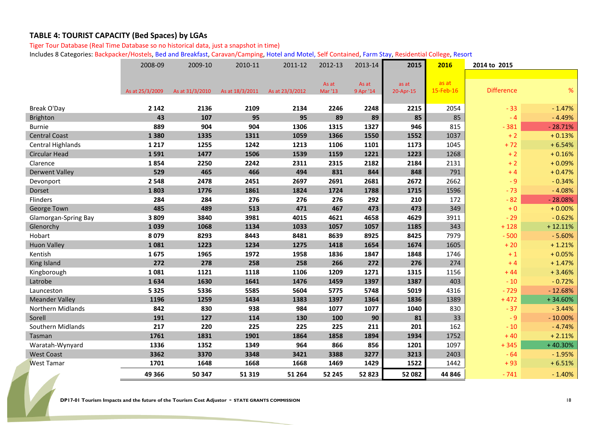#### **TABLE 4: TOURIST CAPACITY (Bed Spaces) by LGAs**

Tiger Tour Database (Real Time Database so no historical data, just a snapshot in time)

Includes 8 Categories: Backpacker/Hostels, Bed and Breakfast, Caravan/Camping, Hotel and Motel, Self Contained, Farm Stay, Residential College, Resort

|                             | 2008-09         | 2009-10         | 2010-11         | 2011-12         | 2012-13 | 2013-14   | 2015      | 2016      | 2014 to 2015      |           |
|-----------------------------|-----------------|-----------------|-----------------|-----------------|---------|-----------|-----------|-----------|-------------------|-----------|
|                             |                 |                 |                 |                 |         |           |           |           |                   |           |
|                             |                 |                 |                 |                 | As at   | As at     | as at     | as at     |                   |           |
|                             | As at 25/3/2009 | As at 31/3/2010 | As at 18/3/2011 | As at 23/3/2012 | Mar '13 | 9 Apr '14 | 20-Apr-15 | 15-Feb-16 | <b>Difference</b> | %         |
| Break O'Day                 | 2 1 4 2         | 2136            | 2109            | 2134            | 2246    | 2248      | 2215      | 2054      | $-33$             | $-1.47%$  |
| Brighton                    | 43              | 107             | 95              | 95              | 89      | 89        | 85        | 85        | $-4$              | $-4.49%$  |
| <b>Burnie</b>               | 889             | 904             | 904             | 1306            | 1315    | 1327      | 946       | 815       | $-381$            | $-28.71%$ |
| <b>Central Coast</b>        | 1380            | 1335            | 1311            | 1059            | 1366    | 1550      | 1552      | 1037      | $+2$              | $+0.13%$  |
| <b>Central Highlands</b>    | 1 2 1 7         | 1255            | 1242            | 1213            | 1106    | 1101      | 1173      | 1045      | $+72$             | $+6.54%$  |
| Circular Head               | 1591            | 1477            | 1506            | 1539            | 1159    | 1221      | 1223      | 1268      | $+2$              | $+0.16%$  |
| Clarence                    | 1854            | 2250            | 2242            | 2311            | 2315    | 2182      | 2184      | 2131      | $+2$              | $+0.09%$  |
| <b>Derwent Valley</b>       | 529             | 465             | 466             | 494             | 831     | 844       | 848       | 791       | $+4$              | $+0.47%$  |
| Devonport                   | 2 5 4 8         | 2478            | 2451            | 2697            | 2691    | 2681      | 2672      | 2662      | $-9$              | $-0.34%$  |
| Dorset                      | 1803            | 1776            | 1861            | 1824            | 1724    | 1788      | 1715      | 1596      | $-73$             | $-4.08%$  |
| Flinders                    | 284             | 284             | 276             | 276             | 276     | 292       | 210       | 172       | $-82$             | $-28.08%$ |
| George Town                 | 485             | 489             | 513             | 471             | 467     | 473       | 473       | 349       | $+0$              | $+0.00%$  |
| <b>Glamorgan-Spring Bay</b> | 3809            | 3840            | 3981            | 4015            | 4621    | 4658      | 4629      | 3911      | $-29$             | $-0.62%$  |
| Glenorchy                   | 1039            | 1068            | 1134            | 1033            | 1057    | 1057      | 1185      | 343       | $+128$            | $+12.11%$ |
| Hobart                      | 8 0 7 9         | 8293            | 8443            | 8481            | 8639    | 8925      | 8425      | 7979      | $-500$            | $-5.60%$  |
| <b>Huon Valley</b>          | 1081            | 1223            | 1234            | 1275            | 1418    | 1654      | 1674      | 1605      | $+20$             | $+1.21%$  |
| Kentish                     | 1675            | 1965            | 1972            | 1958            | 1836    | 1847      | 1848      | 1746      | $+1$              | $+0.05%$  |
| King Island                 | 272             | 278             | 258             | 258             | 266     | 272       | 276       | 274       | $+4$              | $+1.47%$  |
| Kingborough                 | 1081            | 1121            | 1118            | 1106            | 1209    | 1271      | 1315      | 1156      | $+44$             | $+3.46%$  |
| Latrobe                     | 1634            | 1630            | 1641            | 1476            | 1459    | 1397      | 1387      | 403       | $-10$             | $-0.72%$  |
| Launceston                  | 5 3 2 5         | 5336            | 5585            | 5604            | 5775    | 5748      | 5019      | 4316      | $-729$            | $-12.68%$ |
| <b>Meander Valley</b>       | 1196            | 1259            | 1434            | 1383            | 1397    | 1364      | 1836      | 1389      | $+472$            | $+34.60%$ |
| Northern Midlands           | 842             | 830             | 938             | 984             | 1077    | 1077      | 1040      | 830       | $-37$             | $-3.44%$  |
| Sorell                      | 191             | 127             | 114             | 130             | 100     | 90        | 81        | 33        | $-9$              | $-10.00%$ |
| Southern Midlands           | 217             | 220             | 225             | 225             | 225     | 211       | 201       | 162       | $-10$             | $-4.74%$  |
| Tasman                      | 1761            | 1831            | 1901            | 1864            | 1858    | 1894      | 1934      | 1752      | $+40$             | $+2.11%$  |
| Waratah-Wynyard             | 1336            | 1352            | 1349            | 964             | 866     | 856       | 1201      | 1097      | $+345$            | $+40.30%$ |
| <b>West Coast</b>           | 3362            | 3370            | 3348            | 3421            | 3388    | 3277      | 3213      | 2403      | $-64$             | $-1.95%$  |
| <b>West Tamar</b>           | 1701            | 1648            | 1668            | 1668            | 1469    | 1429      | 1522      | 1442      | $+93$             | $+6.51%$  |
|                             | 49 366          | 50 347          | 51 319          | 51 264          | 52 245  | 52823     | 52 082    | 44 846    | $-741$            | $-1.40%$  |